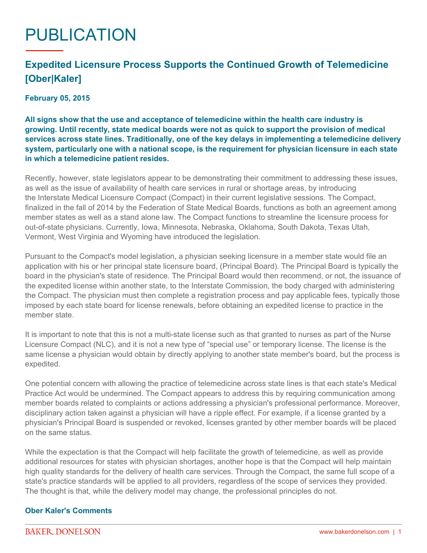## PUBLICATION

## **Expedited Licensure Process Supports the Continued Growth of Telemedicine [Ober|Kaler]**

**February 05, 2015**

**All signs show that the use and acceptance of telemedicine within the health care industry is growing. Until recently, state medical boards were not as quick to support the provision of medical services across state lines. Traditionally, one of the key delays in implementing a telemedicine delivery system, particularly one with a national scope, is the requirement for physician licensure in each state in which a telemedicine patient resides.**

Recently, however, state legislators appear to be demonstrating their commitment to addressing these issues, as well as the issue of availability of health care services in rural or shortage areas, by introducing the Interstate Medical Licensure Compact (Compact) in their current legislative sessions. The Compact, finalized in the fall of 2014 by the Federation of State Medical Boards, functions as both an agreement among member states as well as a stand alone law. The Compact functions to streamline the licensure process for out-of-state physicians. Currently, Iowa, Minnesota, Nebraska, Oklahoma, South Dakota, Texas Utah, Vermont, West Virginia and Wyoming have introduced the legislation.

Pursuant to the Compact's model legislation, a physician seeking licensure in a member state would file an application with his or her principal state licensure board, (Principal Board). The Principal Board is typically the board in the physician's state of residence. The Principal Board would then recommend, or not, the issuance of the expedited license within another state, to the Interstate Commission, the body charged with administering the Compact. The physician must then complete a registration process and pay applicable fees, typically those imposed by each state board for license renewals, before obtaining an expedited license to practice in the member state.

It is important to note that this is not a multi-state license such as that granted to nurses as part of the Nurse Licensure Compact (NLC), and it is not a new type of "special use" or temporary license. The license is the same license a physician would obtain by directly applying to another state member's board, but the process is expedited.

One potential concern with allowing the practice of telemedicine across state lines is that each state's Medical Practice Act would be undermined. The Compact appears to address this by requiring communication among member boards related to complaints or actions addressing a physician's professional performance. Moreover, disciplinary action taken against a physician will have a ripple effect. For example, if a license granted by a physician's Principal Board is suspended or revoked, licenses granted by other member boards will be placed on the same status.

While the expectation is that the Compact will help facilitate the growth of telemedicine, as well as provide additional resources for states with physician shortages, another hope is that the Compact will help maintain high quality standards for the delivery of health care services. Through the Compact, the same full scope of a state's practice standards will be applied to all providers, regardless of the scope of services they provided. The thought is that, while the delivery model may change, the professional principles do not.

## **Ober Kaler's Comments**